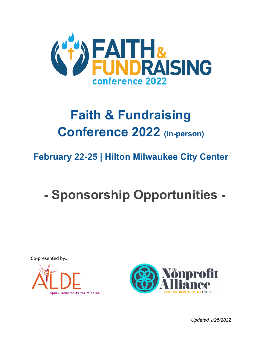

### **Faith & Fundraising Conference 2022 (in-person)**

### **February 22-25 | Hilton Milwaukee City Center**

# **- Sponsorship Opportunities -**

Co-presented by... **Spark Generosity for Mission** 



*Updated 1/25/2022*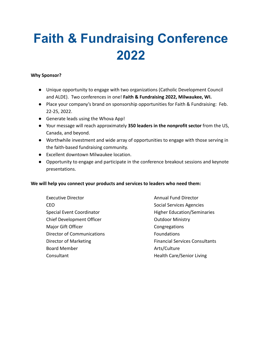## **Faith & Fundraising Conference 2022**

#### **Why Sponsor?**

- Unique opportunity to engage with two organizations (Catholic Development Council and ALDE). Two conferences in one! **Faith & Fundraising 2022, Milwaukee, WI.**
- Place your company's brand on sponsorship opportunities for Faith & Fundraising: Feb. 22-25, 2022.
- Generate leads using the Whova App!
- Your message will reach approximately **350 leaders in the nonprofit sector** from the US, Canada, and beyond.
- Worthwhile investment and wide array of opportunities to engage with those serving in the faith-based fundraising community.
- Excellent downtown Milwaukee location.
- Opportunity to engage and participate in the conference breakout sessions and keynote presentations.

#### **We will help you connect your products and services to leaders who need them:**

Executive Director CEO Special Event Coordinator Chief Development Officer Major Gift Officer Director of Communications Director of Marketing Board Member **Consultant** 

Annual Fund Director Social Services Agencies Higher Education/Seminaries Outdoor Ministry Congregations Foundations Financial Services Consultants Arts/Culture Health Care/Senior Living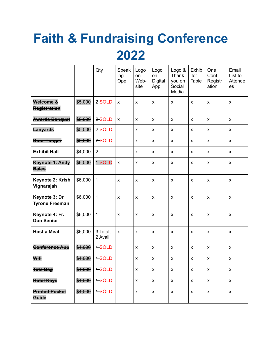# **Faith & Fundraising Conference** 2022

|                                         |         | Qty                 | Speak<br>ing<br>Opp | Logo<br>on<br>Web-<br>site | Logo<br>on<br><b>Digital</b><br>App | Logo &<br>Thank<br>you on<br>Social<br>Media | Exhib<br>itor<br>Table | One<br>Conf<br>Registr<br>ation | Email<br>List to<br>Attende<br>es |
|-----------------------------------------|---------|---------------------|---------------------|----------------------------|-------------------------------------|----------------------------------------------|------------------------|---------------------------------|-----------------------------------|
| Welcome &<br>Registration               | \$5,000 | 2-SOLD              | X                   | X                          | X                                   | $\pmb{\times}$                               | $\pmb{\chi}$           | X                               | $\pmb{\times}$                    |
| <b>Awards Banquet</b>                   | \$5,000 | 2-SOLD              | $\pmb{\times}$      | $\pmb{\times}$             | X                                   | $\pmb{\times}$                               | $\pmb{\mathsf{X}}$     | X                               | $\pmb{\times}$                    |
| Lanyards                                | \$5,000 | 2-SOLD              |                     | X                          | X                                   | X                                            | X                      | X                               | $\pmb{\times}$                    |
| <b>Door Hanger</b>                      | \$5,000 | 2-SOLD              |                     | X                          | X                                   | X                                            | X                      | $\pmb{\mathsf{X}}$              | X                                 |
| <b>Exhibit Hall</b>                     | \$4,000 | $\overline{2}$      |                     | X                          | X                                   | X                                            | $\pmb{\mathsf{X}}$     | X                               | X                                 |
| Keynote 1: Andy<br><b>Bales</b>         | \$6,000 | 1-SOLD              | X                   | X                          | X                                   | $\pmb{\times}$                               | $\pmb{\times}$         | $\pmb{\times}$                  | $\pmb{\times}$                    |
| Keynote 2: Krish<br>Vignarajah          | \$6,000 | $\mathbf{1}$        | X                   | X                          | X                                   | $\pmb{\times}$                               | $\pmb{\times}$         | X                               | $\pmb{\times}$                    |
| Keynote 3: Dr.<br><b>Tyrone Freeman</b> | \$6,000 | $\mathbf{1}$        | X                   | X                          | X                                   | $\pmb{\times}$                               | $\pmb{\mathsf{X}}$     | $\pmb{\times}$                  | $\pmb{\times}$                    |
| Keynote 4: Fr.<br><b>Don Senior</b>     | \$6,000 | $\mathbf{1}$        | $\pmb{\mathsf{X}}$  | $\pmb{\times}$             | $\pmb{\times}$                      | $\boldsymbol{\mathsf{x}}$                    | $\pmb{\times}$         | $\pmb{\times}$                  | $\pmb{\times}$                    |
| <b>Host a Meal</b>                      | \$6,000 | 3 Total,<br>2 Avail | X                   | X                          | X                                   | $\pmb{\times}$                               | $\pmb{\times}$         | $\pmb{\times}$                  | $\pmb{\times}$                    |
| <b>Conference App</b>                   | \$4,000 | <b>4-SOLD</b>       |                     | X                          | X                                   | X                                            | $\pmb{\mathsf{X}}$     | $\pmb{\times}$                  | $\pmb{\times}$                    |
| Wifi                                    | \$4,000 | +SOLD               |                     | $\pmb{\mathsf{x}}$         | $\pmb{\mathsf{X}}$                  | $\pmb{\mathsf{x}}$                           | $\pmb{\mathsf{X}}$     | $\pmb{\mathsf{x}}$              | $\pmb{\mathsf{X}}$                |
| <b>Tote Bag</b>                         | \$4,000 | +SOLD               |                     | X                          | X                                   | X                                            | X                      | X                               | X                                 |
| Hotel Keys                              | \$4,000 | +SOLD               |                     | $\pmb{\mathsf{X}}$         | $\pmb{\mathsf{X}}$                  | X                                            | X                      | X                               | $\pmb{\mathsf{X}}$                |
| <b>Printed Pocket</b><br>Guide          | \$4,000 | <b>+SOLD</b>        |                     | $\pmb{\mathsf{X}}$         | $\pmb{\mathsf{X}}$                  | $\pmb{\mathsf{X}}$                           | $\pmb{\mathsf{X}}$     | $\pmb{\mathsf{X}}$              | $\pmb{\mathsf{X}}$                |